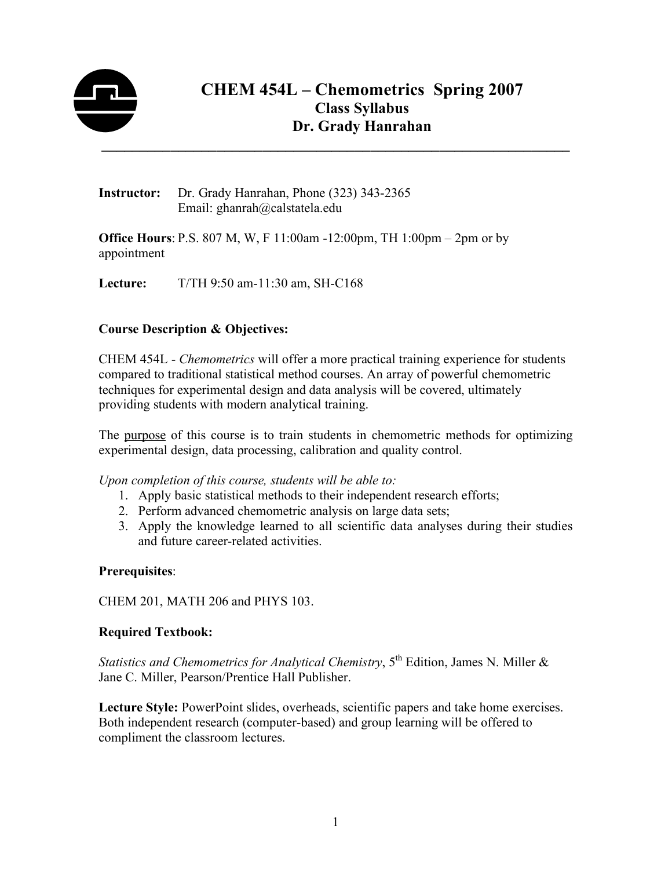

Instructor: Dr. Grady Hanrahan, Phone (323) 343-2365 Email: ghanrah@calstatela.edu

Office Hours: P.S. 807 M, W, F 11:00am -12:00pm, TH 1:00pm – 2pm or by appointment

Lecture: T/TH 9:50 am-11:30 am, SH-C168

# Course Description & Objectives:

CHEM 454L - *Chemometrics* will offer a more practical training experience for students compared to traditional statistical method courses. An array of powerful chemometric techniques for experimental design and data analysis will be covered, ultimately providing students with modern analytical training.

The purpose of this course is to train students in chemometric methods for optimizing experimental design, data processing, calibration and quality control.

*Upon completion of this course, students will be able to:* 

- 1. Apply basic statistical methods to their independent research efforts;
- 2. Perform advanced chemometric analysis on large data sets;
- 3. Apply the knowledge learned to all scientific data analyses during their studies and future career-related activities.

# Prerequisites:

CHEM 201, MATH 206 and PHYS 103.

#### Required Textbook:

*Statistics and Chemometrics for Analytical Chemistry*, 5<sup>th</sup> Edition, James N. Miller & Jane C. Miller, Pearson/Prentice Hall Publisher.

Lecture Style: PowerPoint slides, overheads, scientific papers and take home exercises. Both independent research (computer-based) and group learning will be offered to compliment the classroom lectures.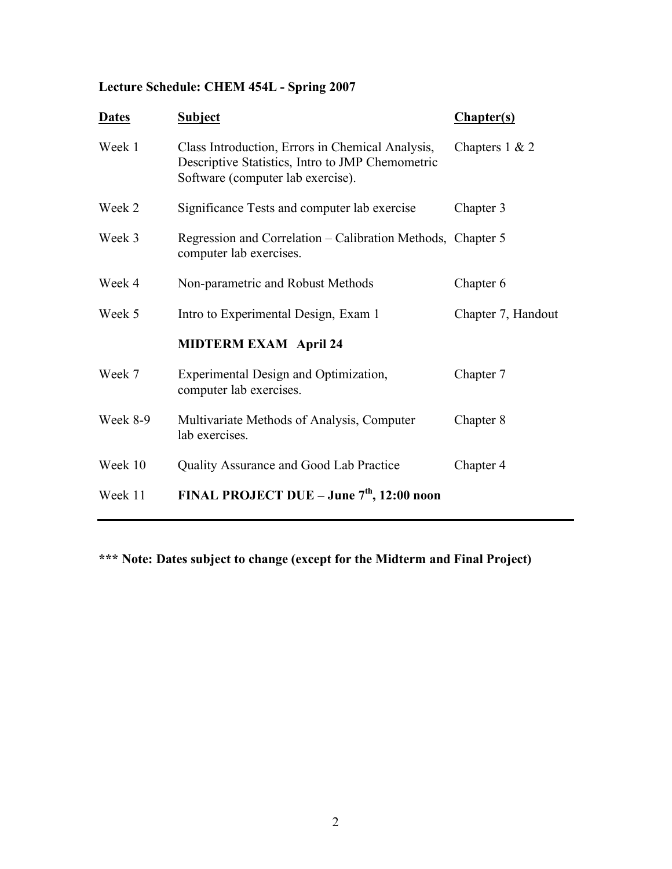# Lecture Schedule: CHEM 454L - Spring 2007

| <b>Dates</b> | <b>Subject</b>                                                                                                                            | <b>Chapter(s)</b>  |
|--------------|-------------------------------------------------------------------------------------------------------------------------------------------|--------------------|
| Week 1       | Class Introduction, Errors in Chemical Analysis,<br>Descriptive Statistics, Intro to JMP Chemometric<br>Software (computer lab exercise). | Chapters $1 & 2$   |
| Week 2       | Significance Tests and computer lab exercise                                                                                              | Chapter 3          |
| Week 3       | Regression and Correlation – Calibration Methods, Chapter 5<br>computer lab exercises.                                                    |                    |
| Week 4       | Non-parametric and Robust Methods                                                                                                         | Chapter 6          |
| Week 5       | Intro to Experimental Design, Exam 1                                                                                                      | Chapter 7, Handout |
|              | <b>MIDTERM EXAM April 24</b>                                                                                                              |                    |
| Week 7       | Experimental Design and Optimization,<br>computer lab exercises.                                                                          | Chapter 7          |
| Week 8-9     | Multivariate Methods of Analysis, Computer<br>lab exercises.                                                                              | Chapter 8          |
| Week 10      | Quality Assurance and Good Lab Practice                                                                                                   | Chapter 4          |
| Week 11      | FINAL PROJECT DUE – June $7th$ , 12:00 noon                                                                                               |                    |

\*\*\* Note: Dates subject to change (except for the Midterm and Final Project)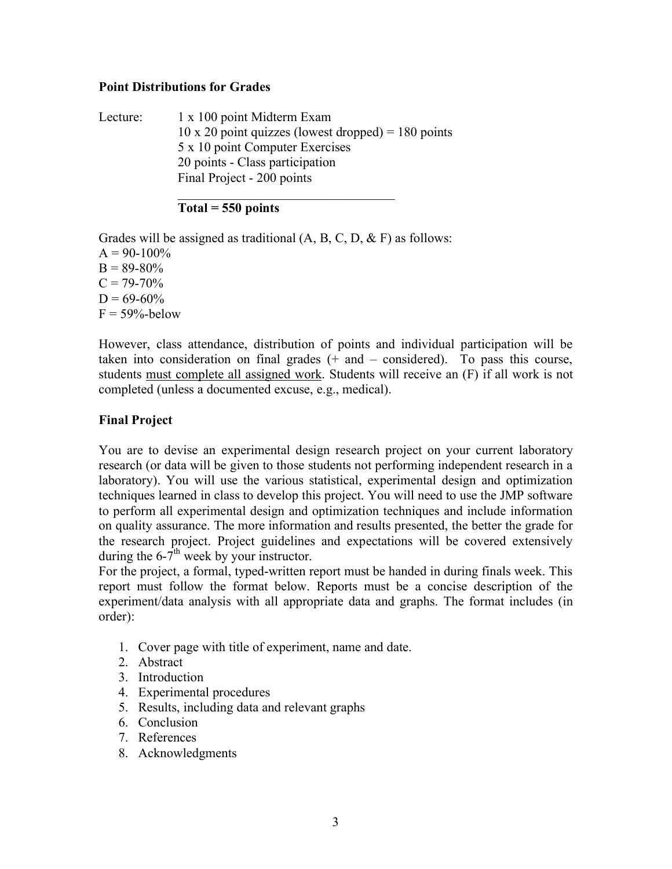#### Point Distributions for Grades

Lecture: 1 x 100 point Midterm Exam  $10 \times 20$  point quizzes (lowest dropped) = 180 points 5 x 10 point Computer Exercises 20 points - Class participation Final Project - 200 points  $\mathcal{L}_\text{max}$ 

## $Total = 550 points$

Grades will be assigned as traditional  $(A, B, C, D, \& F)$  as follows:  $A = 90-100\%$  $B = 89-80%$  $C = 79-70%$  $D = 69-60%$  $F = 59\%$ -below

However, class attendance, distribution of points and individual participation will be taken into consideration on final grades  $(+)$  and  $-$  considered). To pass this course, students must complete all assigned work. Students will receive an (F) if all work is not completed (unless a documented excuse, e.g., medical).

# Final Project

You are to devise an experimental design research project on your current laboratory research (or data will be given to those students not performing independent research in a laboratory). You will use the various statistical, experimental design and optimization techniques learned in class to develop this project. You will need to use the JMP software to perform all experimental design and optimization techniques and include information on quality assurance. The more information and results presented, the better the grade for the research project. Project guidelines and expectations will be covered extensively during the  $6-7<sup>th</sup>$  week by your instructor.

For the project, a formal, typed-written report must be handed in during finals week. This report must follow the format below. Reports must be a concise description of the experiment/data analysis with all appropriate data and graphs. The format includes (in order):

- 1. Cover page with title of experiment, name and date.
- 2. Abstract
- 3. Introduction
- 4. Experimental procedures
- 5. Results, including data and relevant graphs
- 6. Conclusion
- 7. References
- 8. Acknowledgments